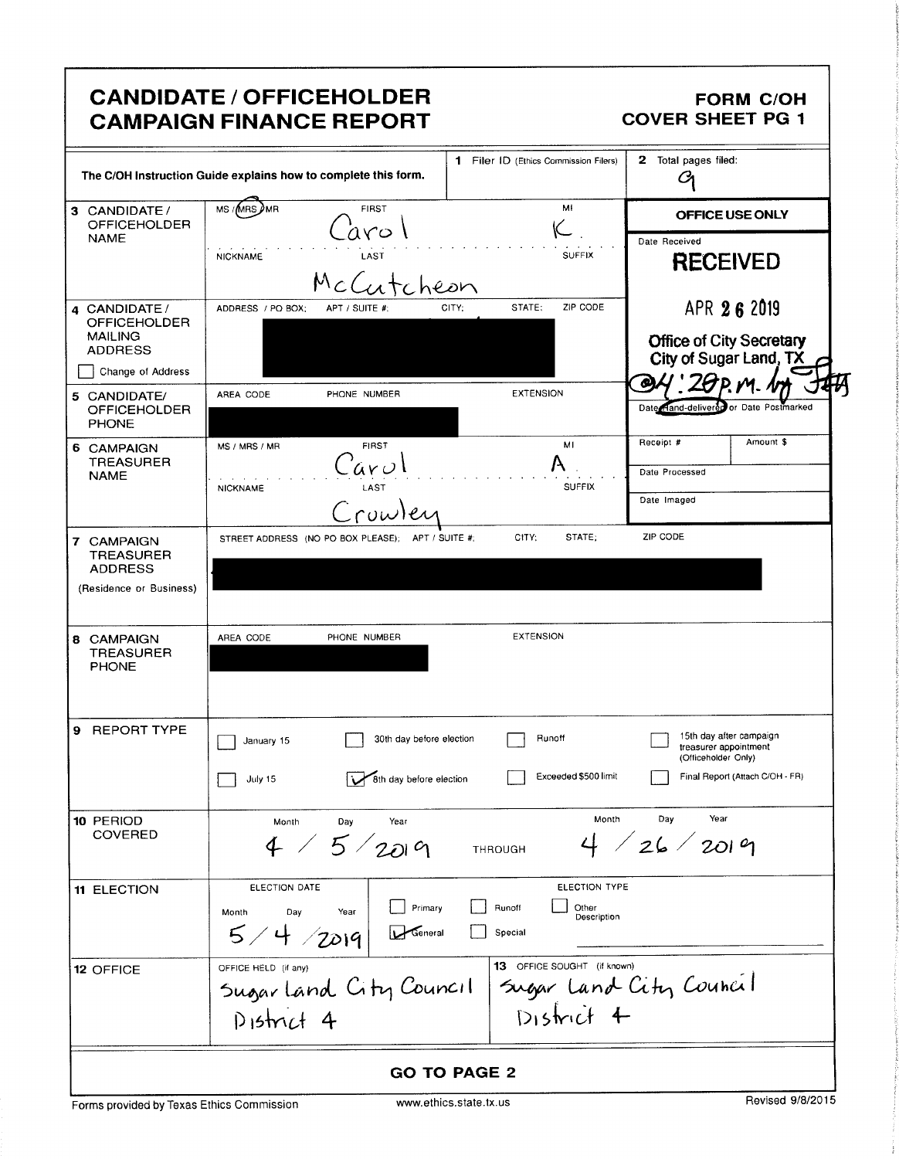|                                                                             | <b>CANDIDATE / OFFICEHOLDER</b><br><b>CAMPAIGN FINANCE REPORT</b>                              |                                                            | <b>FORM C/OH</b><br><b>COVER SHEET PG 1</b>                             |
|-----------------------------------------------------------------------------|------------------------------------------------------------------------------------------------|------------------------------------------------------------|-------------------------------------------------------------------------|
|                                                                             | The C/OH Instruction Guide explains how to complete this form.                                 | 1 Filer ID (Ethics Commission Filers)                      | Total pages filed:<br>$\mathbf{2}$<br>Cл                                |
| 3 CANDIDATE /<br><b>OFFICEHOLDER</b>                                        | MS /MRS AMR<br><b>FIRST</b>                                                                    | MF                                                         | OFFICE USE ONLY                                                         |
| <b>NAME</b>                                                                 | aro<br><b>NICKNAME</b><br>LAST                                                                 | <b>SUFFIX</b>                                              | Date Received<br><b>RECEIVED</b>                                        |
| 4 CANDIDATE/<br><b>OFFICEHOLDER</b>                                         | ADDRESS / PO BOX:<br>APT / SUITE #;                                                            | ZIP CODE<br>STATE:<br>CITY;                                | APR 26 2019                                                             |
| <b>MAILING</b><br><b>ADDRESS</b>                                            |                                                                                                |                                                            | <b>Office of City Secretary</b><br>City of Sugar Land, TX               |
| Change of Address<br>5 CANDIDATE/                                           | PHONE NUMBER<br>AREA CODE                                                                      | <b>EXTENSION</b>                                           | œ                                                                       |
| <b>OFFICEHOLDER</b><br><b>PHONE</b>                                         |                                                                                                |                                                            | Date Hand-delivered or Date Postmarked                                  |
| 6 CAMPAIGN                                                                  | <b>FIRST</b><br>MS / MRS / MR                                                                  | MI                                                         | Amount \$<br>Receipt #                                                  |
| <b>TREASURER</b><br><b>NAME</b>                                             | úνU<br>LAST                                                                                    | <b>SUFFIX</b>                                              | Date Processed                                                          |
|                                                                             | <b>NICKNAME</b><br>Crowler                                                                     |                                                            | Date Imaged                                                             |
| 7 CAMPAIGN<br><b>TREASURER</b><br><b>ADDRESS</b><br>(Residence or Business) | STREET ADDRESS (NO PO BOX PLEASE); APT / SUITE #;                                              | CITY;<br>STATE;                                            | ZIP CODE                                                                |
| 8 CAMPAIGN<br><b>TREASURER</b><br><b>PHONE</b>                              | AREA CODE<br>PHONE NUMBER                                                                      | <b>EXTENSION</b>                                           |                                                                         |
| 9 REPORT TYPE                                                               | 30th day before election<br>January 15                                                         | Runoff                                                     | 15th day after campaign<br>treasurer appointment<br>(Officeholder Only) |
|                                                                             | 8th day before election<br>July 15                                                             | Exceeded \$500 limit                                       | Final Report (Attach C/OH - FR)                                         |
| 10 PERIOD<br><b>COVERED</b>                                                 | Month<br>Year<br>Day<br>4 / 5 / 2019                                                           | Month<br>THROUGH                                           | Day<br>Year<br>4 / 26 / 2019                                            |
| 11 ELECTION                                                                 | ELECTION DATE<br>Primary<br>Year<br>Month<br>Day<br>5/4 / 2019<br>$\sqrt{\frac{1}{2}}$ General | ELECTION TYPE<br>Runoff<br>Other<br>Description<br>Special |                                                                         |
| 12 OFFICE                                                                   | OFFICE HELD (if any)<br>Sugar land City Council<br>$D$ istrict 4                               | 13 OFFICE SOUGHT (if known)<br>$Disticit +$                | Sugar Land City Council                                                 |
|                                                                             |                                                                                                | <b>GO TO PAGE 2</b>                                        |                                                                         |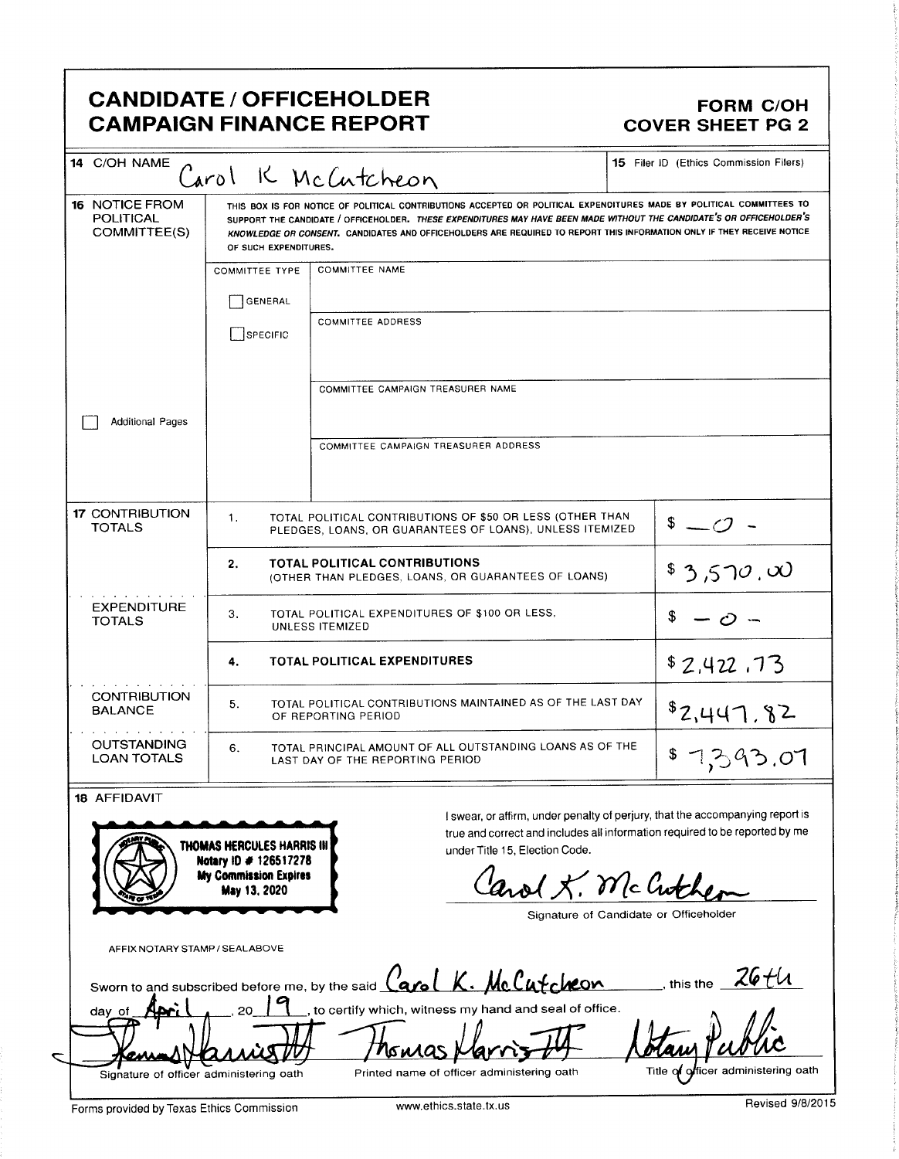### CANDIDATE / OFFICEHOLDER<br>
CAMPAIGN FINANCE REPORT COVER SHEET PG 2 **CAMPAIGN FINANCE REPORT**

I

| <b>POLITICAL</b><br>COMMITTEE(S)         | OF SUCH EXPENDITURES.                                                                             | THIS BOX IS FOR NOTICE OF POLITICAL CONTRIBUTIONS ACCEPTED OR POLITICAL EXPENDITURES MADE BY POLITICAL COMMITTEES TO<br>SUPPORT THE CANDIDATE / OFFICEHOLDER. THESE EXPENDITURES MAY HAVE BEEN MADE WITHOUT THE CANDIDATE'S OR OFFICEHOLDER'S<br>KNOWLEDGE OR CONSENT. CANDIDATES AND OFFICEHOLDERS ARE REQUIRED TO REPORT THIS INFORMATION ONLY IF THEY RECEIVE NOTICE |                                     |
|------------------------------------------|---------------------------------------------------------------------------------------------------|-------------------------------------------------------------------------------------------------------------------------------------------------------------------------------------------------------------------------------------------------------------------------------------------------------------------------------------------------------------------------|-------------------------------------|
|                                          | <b>COMMITTEE TYPE</b>                                                                             | <b>COMMITTEE NAME</b>                                                                                                                                                                                                                                                                                                                                                   |                                     |
|                                          | GENERAL                                                                                           |                                                                                                                                                                                                                                                                                                                                                                         |                                     |
|                                          | SPECIFIC                                                                                          | <b>COMMITTEE ADDRESS</b>                                                                                                                                                                                                                                                                                                                                                |                                     |
|                                          |                                                                                                   | COMMITTEE CAMPAIGN TREASURER NAME                                                                                                                                                                                                                                                                                                                                       |                                     |
| <b>Additional Pages</b>                  |                                                                                                   |                                                                                                                                                                                                                                                                                                                                                                         |                                     |
|                                          |                                                                                                   | COMMITTEE CAMPAIGN TREASURER ADDRESS                                                                                                                                                                                                                                                                                                                                    |                                     |
| <b>17 CONTRIBUTION</b><br><b>TOTALS</b>  | 1.                                                                                                | TOTAL POLITICAL CONTRIBUTIONS OF \$50 OR LESS (OTHER THAN<br>PLEDGES, LOANS, OR GUARANTEES OF LOANS), UNLESS ITEMIZED                                                                                                                                                                                                                                                   | $\sqrt[3]{2}$                       |
|                                          | <b>TOTAL POLITICAL CONTRIBUTIONS</b><br>2.<br>(OTHER THAN PLEDGES, LOANS, OR GUARANTEES OF LOANS) |                                                                                                                                                                                                                                                                                                                                                                         | \$3,570,00                          |
| <b>EXPENDITURE</b><br><b>TOTALS</b>      | TOTAL POLITICAL EXPENDITURES OF \$100 OR LESS,<br>3.<br>UNLESS ITEMIZED                           |                                                                                                                                                                                                                                                                                                                                                                         | S.<br>$-c$ $-$                      |
|                                          | 4.                                                                                                | <b>TOTAL POLITICAL EXPENDITURES</b>                                                                                                                                                                                                                                                                                                                                     | \$2,422,73                          |
| <b>CONTRIBUTION</b><br><b>BALANCE</b>    | 5.                                                                                                | TOTAL POLITICAL CONTRIBUTIONS MAINTAINED AS OF THE LAST DAY<br>OF REPORTING PERIOD                                                                                                                                                                                                                                                                                      | \$2,447,82                          |
| <b>OUTSTANDING</b><br><b>LOAN TOTALS</b> | 6.                                                                                                | TOTAL PRINCIPAL AMOUNT OF ALL OUTSTANDING LOANS AS OF THE<br>LAST DAY OF THE REPORTING PERIOD                                                                                                                                                                                                                                                                           | \$7,393.07                          |
| 18 AFFIDAVIT                             | THOMAS HERCULES HARRIS III<br>Notary ID # 126517278                                               | I swear, or affirm, under penalty of perjury, that the accompanying report is<br>true and correct and includes all information required to be reported by me<br>under Title 15, Election Code.                                                                                                                                                                          |                                     |
|                                          | <b>My Commission Expires</b><br>May 13, 2020                                                      | and X. McCuthes<br>Signature of Candidate or Officeholder                                                                                                                                                                                                                                                                                                               |                                     |
| AFFIX NOTARY STAMP / SEALABOVE           |                                                                                                   |                                                                                                                                                                                                                                                                                                                                                                         | this the $\overline{\phantom{a}}$   |
| day of                                   | 20                                                                                                | Sworn to and subscribed before me, by the said Carol K. McCutchcon<br>to certify which, witness my hand and seal of office.                                                                                                                                                                                                                                             |                                     |
| Signature of officer administering oath  |                                                                                                   | nona<br>Printed name of officer administering oath                                                                                                                                                                                                                                                                                                                      | Title of officer administering oath |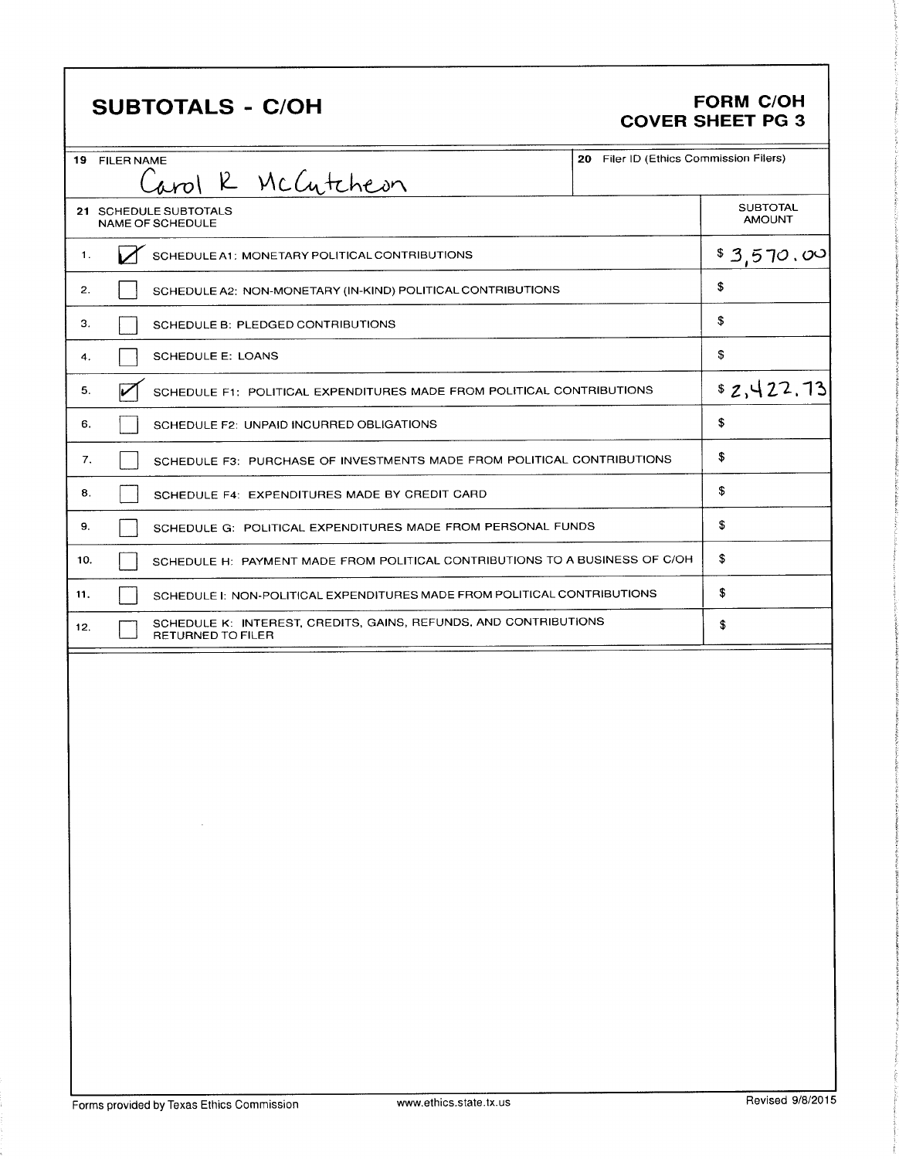## SUBTOTALS - C/OH FORM C/OH

# COVER SHEET PG 3

|     | 19 FILER NAME                                 |                                                                             | 20 Filer ID (Ethics Commission Filers) |                                  |
|-----|-----------------------------------------------|-----------------------------------------------------------------------------|----------------------------------------|----------------------------------|
|     | Carol R McCutcheon                            |                                                                             |                                        |                                  |
|     | 21 SCHEDULE SUBTOTALS<br>NAME OF SCHEDULE     |                                                                             |                                        | <b>SUBTOTAL</b><br><b>AMOUNT</b> |
| 1.  | SCHEDULE A1: MONETARY POLITICAL CONTRIBUTIONS |                                                                             |                                        | \$3,570.00                       |
| 2.  |                                               | SCHEDULE A2: NON-MONETARY (IN-KIND) POLITICAL CONTRIBUTIONS                 |                                        | \$                               |
| З.  | SCHEDULE B: PLEDGED CONTRIBUTIONS             |                                                                             |                                        | \$                               |
| 4.  | <b>SCHEDULE E: LOANS</b>                      |                                                                             |                                        | \$                               |
| 5.  |                                               | SCHEDULE F1: POLITICAL EXPENDITURES MADE FROM POLITICAL CONTRIBUTIONS       |                                        | \$2,422.13                       |
| 6.  | SCHEDULE F2: UNPAID INCURRED OBLIGATIONS      |                                                                             |                                        | \$                               |
| 7.  |                                               | SCHEDULE F3: PURCHASE OF INVESTMENTS MADE FROM POLITICAL CONTRIBUTIONS      |                                        | \$                               |
| 8.  |                                               | SCHEDULE F4: EXPENDITURES MADE BY CREDIT CARD                               |                                        | \$                               |
| 9.  |                                               | SCHEDULE G: POLITICAL EXPENDITURES MADE FROM PERSONAL FUNDS                 |                                        | \$                               |
| 10. |                                               | SCHEDULE H: PAYMENT MADE FROM POLITICAL CONTRIBUTIONS TO A BUSINESS OF C/OH |                                        | \$                               |
| 11. |                                               | SCHEDULE I: NON-POLITICAL EXPENDITURES MADE FROM POLITICAL CONTRIBUTIONS    |                                        | \$                               |
| 12. | <b>RETURNED TO FILER</b>                      | SCHEDULE K: INTEREST, CREDITS, GAINS, REFUNDS, AND CONTRIBUTIONS            |                                        | \$                               |
|     |                                               |                                                                             |                                        |                                  |
|     |                                               |                                                                             |                                        |                                  |
|     |                                               |                                                                             |                                        |                                  |
|     |                                               |                                                                             |                                        |                                  |
|     |                                               |                                                                             |                                        |                                  |
|     |                                               |                                                                             |                                        |                                  |
|     |                                               |                                                                             |                                        |                                  |
|     |                                               |                                                                             |                                        |                                  |
|     |                                               |                                                                             |                                        |                                  |
|     |                                               |                                                                             |                                        |                                  |
|     |                                               |                                                                             |                                        |                                  |
|     |                                               |                                                                             |                                        |                                  |

ti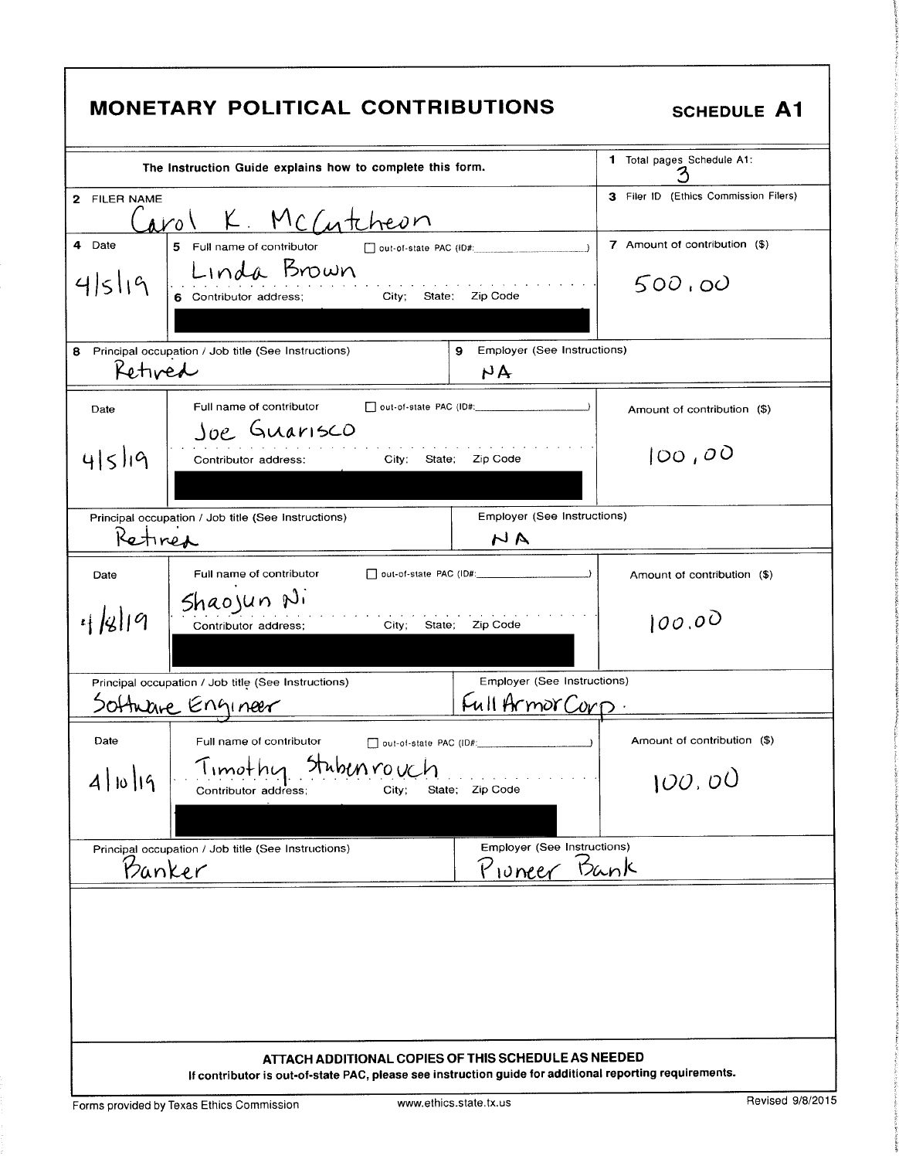|              | <b>MONETARY POLITICAL CONTRIBUTIONS</b>                                                                                                                        | <b>SCHEDULE A1</b>                    |
|--------------|----------------------------------------------------------------------------------------------------------------------------------------------------------------|---------------------------------------|
|              | The Instruction Guide explains how to complete this form.                                                                                                      | 1 Total pages Schedule A1:            |
| 2 FILER NAME | Carol K McCutcheon                                                                                                                                             | 3 Filer ID (Ethics Commission Filers) |
| 4 Date       | 5 Full name of contributor<br>$\Box$ out-of-state PAC (ID#:                                                                                                    | 7 Amount of contribution (\$)         |
| 4519         | Linda Brown<br>6 Contributor address;<br>City; State: Zip Code                                                                                                 | 500,00                                |
| 8<br>Retived | Employer (See Instructions)<br>Principal occupation / Job title (See Instructions)<br>9<br>NA                                                                  |                                       |
| Date         | Full name of contributor<br>Joe Guarisco                                                                                                                       | Amount of contribution (\$)           |
| 415/19       | Zip Code<br>City;<br>State:<br>Contributor address:                                                                                                            | 100,00                                |
| Retired      | Employer (See Instructions)<br>Principal occupation / Job title (See Instructions)<br>NA                                                                       |                                       |
| Date         | Full name of contributor                                                                                                                                       | Amount of contribution (\$)           |
| 4/8/19       | Shaojun Ni<br>City; State; Zip Code<br>Contributor address;                                                                                                    | 100.00                                |
|              | Employer (See Instructions)<br>Principal occupation / Job title (See Instructions)                                                                             |                                       |
|              | Full Armor Corp.<br>Software Engineer                                                                                                                          |                                       |
| Date         | Full name of contributor                                                                                                                                       | Amount of contribution (\$)           |
| 4 10 19      | Stubenrouch<br>Timothu<br>State; Zip Code<br>City;<br>Contributor address;                                                                                     | 100.00                                |
|              | <b>Employer (See Instructions)</b><br>Principal occupation / Job title (See Instructions)                                                                      |                                       |
| Banker       | Proneer Bank                                                                                                                                                   |                                       |
|              |                                                                                                                                                                |                                       |
|              | ATTACH ADDITIONAL COPIES OF THIS SCHEDULE AS NEEDED<br>If contributor is out-of-state PAC, please see instruction guide for additional reporting requirements. |                                       |

Forms provided by Texas Ethics Commission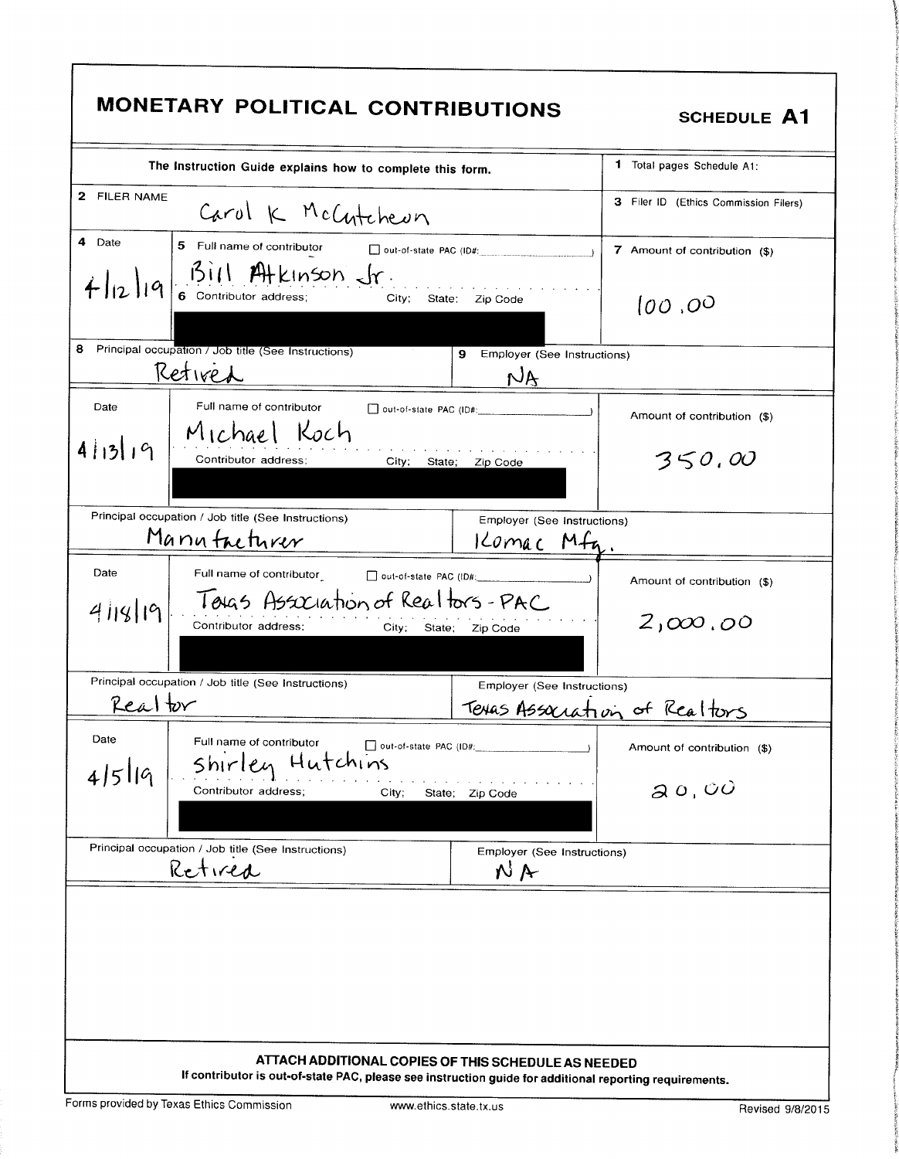| 2 FILER NAME<br>Carol K McCutcheun<br>4 Date<br>5 Full name of contributor<br>$\Box$ out-of-state PAC (ID#:<br>7 Amount of contribution (\$)<br>$ q $ $\frac{311}{6}$ contributor address;<br>City;<br>State:<br>Zip Code<br>(00, 00)<br>8<br>Principal occupation / Job title (See Instructions)<br>9 Employer (See Instructions)<br>Retired<br>$N_{\rm A}$<br>Full name of contributor<br>Date<br>Amount of contribution (\$)<br>Michael Koch<br>4 13 19<br>350,00<br>Contributor address:<br>City:<br>State;<br>Zip Code<br>Principal occupation / Job title (See Instructions)<br>Employer (See Instructions)<br>Manufacturer<br>Komac Mfg<br>Date<br>Full name of contributor<br>Amount of contribution (\$)<br>Toras Association of Realtors-PAC<br>4118/19<br>2,000,00<br>Contributor address;<br>City;<br>State;<br>Zip Code<br>Principal occupation / Job title (See Instructions)<br>Employer (See Instructions)<br>Realtor<br>Texas Association of Realtors<br>Date<br>Full name of contributor<br>$\Box$ out-of-state PAC (ID#:<br>Amount of contribution (\$) | The Instruction Guide explains how to complete this form. | 1 Total pages Schedule A1:            |
|----------------------------------------------------------------------------------------------------------------------------------------------------------------------------------------------------------------------------------------------------------------------------------------------------------------------------------------------------------------------------------------------------------------------------------------------------------------------------------------------------------------------------------------------------------------------------------------------------------------------------------------------------------------------------------------------------------------------------------------------------------------------------------------------------------------------------------------------------------------------------------------------------------------------------------------------------------------------------------------------------------------------------------------------------------------------------|-----------------------------------------------------------|---------------------------------------|
|                                                                                                                                                                                                                                                                                                                                                                                                                                                                                                                                                                                                                                                                                                                                                                                                                                                                                                                                                                                                                                                                            |                                                           | 3 Filer ID (Ethics Commission Filers) |
|                                                                                                                                                                                                                                                                                                                                                                                                                                                                                                                                                                                                                                                                                                                                                                                                                                                                                                                                                                                                                                                                            |                                                           |                                       |
|                                                                                                                                                                                                                                                                                                                                                                                                                                                                                                                                                                                                                                                                                                                                                                                                                                                                                                                                                                                                                                                                            |                                                           |                                       |
|                                                                                                                                                                                                                                                                                                                                                                                                                                                                                                                                                                                                                                                                                                                                                                                                                                                                                                                                                                                                                                                                            |                                                           |                                       |
|                                                                                                                                                                                                                                                                                                                                                                                                                                                                                                                                                                                                                                                                                                                                                                                                                                                                                                                                                                                                                                                                            |                                                           |                                       |
|                                                                                                                                                                                                                                                                                                                                                                                                                                                                                                                                                                                                                                                                                                                                                                                                                                                                                                                                                                                                                                                                            |                                                           |                                       |
|                                                                                                                                                                                                                                                                                                                                                                                                                                                                                                                                                                                                                                                                                                                                                                                                                                                                                                                                                                                                                                                                            |                                                           |                                       |
|                                                                                                                                                                                                                                                                                                                                                                                                                                                                                                                                                                                                                                                                                                                                                                                                                                                                                                                                                                                                                                                                            |                                                           |                                       |
|                                                                                                                                                                                                                                                                                                                                                                                                                                                                                                                                                                                                                                                                                                                                                                                                                                                                                                                                                                                                                                                                            |                                                           |                                       |
|                                                                                                                                                                                                                                                                                                                                                                                                                                                                                                                                                                                                                                                                                                                                                                                                                                                                                                                                                                                                                                                                            |                                                           |                                       |
| 20,00<br>Contributor address;<br>City;<br>State; Zip Code                                                                                                                                                                                                                                                                                                                                                                                                                                                                                                                                                                                                                                                                                                                                                                                                                                                                                                                                                                                                                  | Hutchins<br>shirlen                                       |                                       |
| Principal occupation / Job title (See Instructions)<br>Employer (See Instructions)                                                                                                                                                                                                                                                                                                                                                                                                                                                                                                                                                                                                                                                                                                                                                                                                                                                                                                                                                                                         |                                                           |                                       |
| NA                                                                                                                                                                                                                                                                                                                                                                                                                                                                                                                                                                                                                                                                                                                                                                                                                                                                                                                                                                                                                                                                         | 4 5 19<br>Retired                                         |                                       |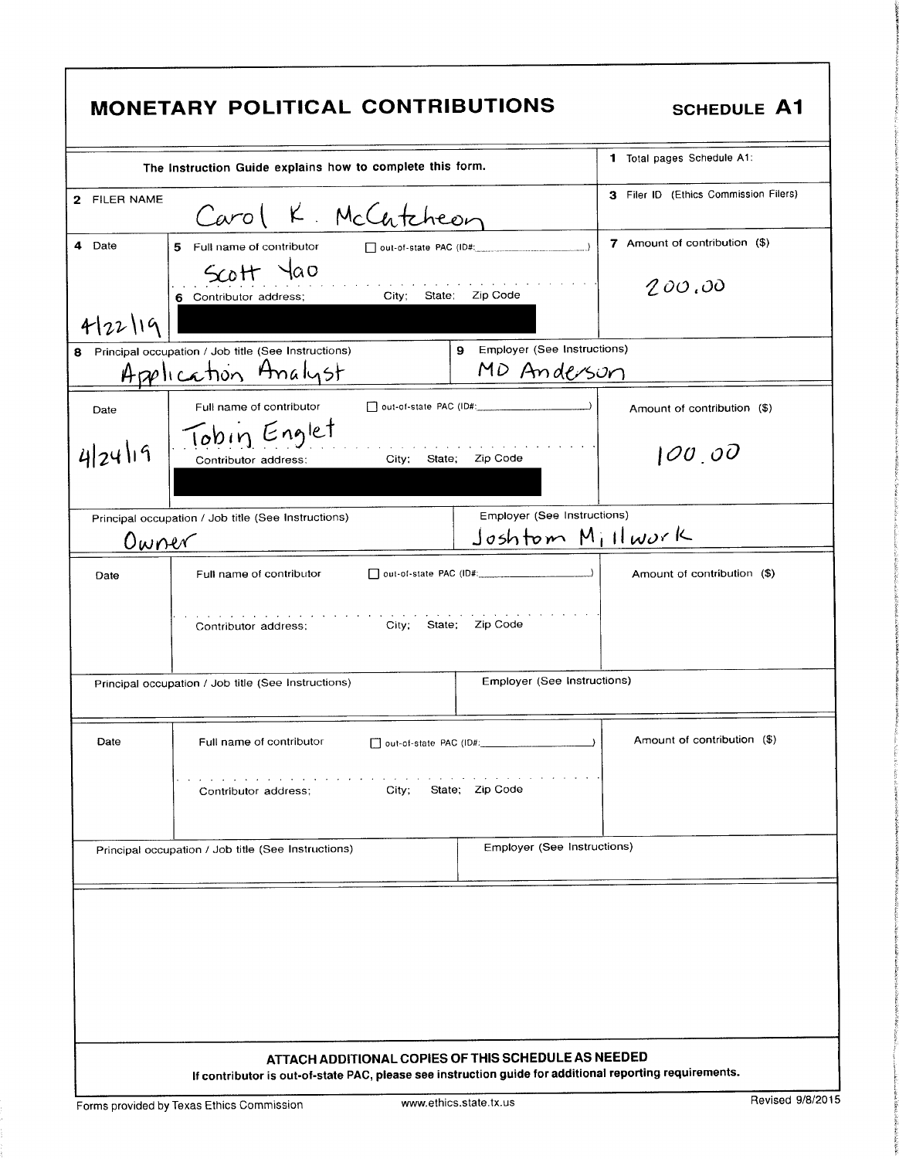|              | MONETARY POLITICAL CONTRIBUTIONS                                                                                                                               | <b>SCHEDULE A1</b>                    |
|--------------|----------------------------------------------------------------------------------------------------------------------------------------------------------------|---------------------------------------|
|              | The Instruction Guide explains how to complete this form.                                                                                                      | 1 Total pages Schedule A1:            |
| 2 FILER NAME | Carol K. McCutcheon                                                                                                                                            | 3 Filer ID (Ethics Commission Filers) |
| 4 Date       | 5 Full name of contributor<br>out-of-state PAC (ID#:<br>$\rightarrow$                                                                                          | 7 Amount of contribution (\$)         |
|              | $5cott$ $4a0$<br>City; State; Zip Code<br>6 Contributor address;                                                                                               | 200,00                                |
| 4/22/19      | 9<br>Employer (See Instructions)                                                                                                                               |                                       |
|              | 8 Principal occupation / Job title (See Instructions)<br>MD Anderson<br>Application Analyst                                                                    |                                       |
| Date         | Full name of contributor<br>Tobin Englet                                                                                                                       | Amount of contribution (\$)           |
| 4/24/19      | Zip Code<br>City;<br>State;<br>Contributor address:                                                                                                            | 100,00                                |
|              | Employer (See Instructions)<br>Principal occupation / Job title (See Instructions)                                                                             |                                       |
| Owner        | $Joshtom M_1HworK$                                                                                                                                             |                                       |
| Date         | Full name of contributor<br>City; State; Zip Code<br>Contributor address;                                                                                      | Amount of contribution (\$)           |
|              | Employer (See Instructions)<br>Principal occupation / Job title (See Instructions)                                                                             |                                       |
| Date         | Dout-of-state PAC (ID#:<br>Full name of contributor                                                                                                            | Amount of contribution (\$)           |
|              | State; Zip Code<br>City;<br>Contributor address;                                                                                                               |                                       |
|              | Employer (See Instructions)<br>Principal occupation / Job title (See Instructions)                                                                             |                                       |
|              |                                                                                                                                                                |                                       |
|              |                                                                                                                                                                |                                       |
|              | ATTACH ADDITIONAL COPIES OF THIS SCHEDULE AS NEEDED<br>If contributor is out-of-state PAC, please see instruction guide for additional reporting requirements. |                                       |
|              | www.ethics.state.tx.us<br>Forms provided by Texas Ethics Commission                                                                                            | Revised 9/8/2015                      |

٦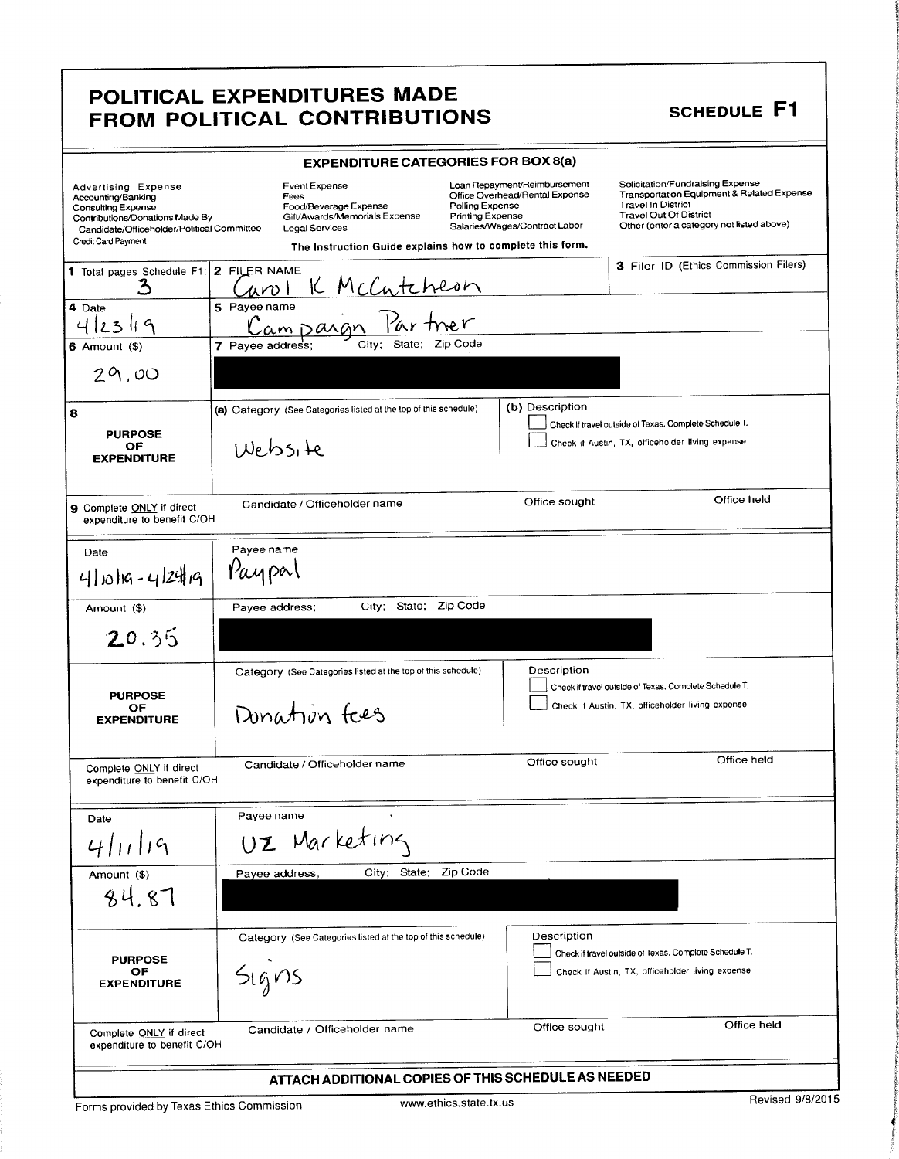### POLITICAL EXPENDITURES MADE FULLING LATERSTICKE MADE

**include** 

F t

Tt I

I

I': 4

|                                                                                                                                                                                | <b>EXPENDITURE CATEGORIES FOR BOX 8(a)</b>                                                                                                                                                                   |                                                                                                 |                                                                                                                                                                                           |
|--------------------------------------------------------------------------------------------------------------------------------------------------------------------------------|--------------------------------------------------------------------------------------------------------------------------------------------------------------------------------------------------------------|-------------------------------------------------------------------------------------------------|-------------------------------------------------------------------------------------------------------------------------------------------------------------------------------------------|
| <b>Advertising Expense</b><br>Accounting/Banking<br>Consulting Expense<br>Contributions/Donations Made By<br>Candidate/Officeholder/Political Committee<br>Credit Card Payment | Event Expense<br>Fees<br>Polling Expense<br>Food/Beverage Expense<br>Gift/Awards/Memorials Expense<br>Printing Expense<br><b>Legal Services</b><br>The Instruction Guide explains how to complete this form. | Loan Repayment/Reimbursement<br>Office Overhead/Rental Expense<br>Salaries/Wages/Contract Labor | Solicitation/Fundraising Expense<br>Transportation Equipment & Related Expense<br><b>Travel In District</b><br><b>Travel Out Of District</b><br>Other (enter a category not listed above) |
| 1 Total pages Schedule F1: 2 FILER NAME<br>3                                                                                                                                   | McCutcheon<br>um l                                                                                                                                                                                           |                                                                                                 | 3 Filer ID (Ethics Commission Filers)                                                                                                                                                     |
| 4 Date<br>ς<br>$\mathbf{z}$                                                                                                                                                    | 5 Payee name<br>Campang                                                                                                                                                                                      |                                                                                                 |                                                                                                                                                                                           |
| $6$ Amount $($)$                                                                                                                                                               | Zip Code<br>State;<br>7 Payee address;<br>City;                                                                                                                                                              |                                                                                                 |                                                                                                                                                                                           |
| 29,00                                                                                                                                                                          |                                                                                                                                                                                                              |                                                                                                 |                                                                                                                                                                                           |
| 8<br><b>PURPOSE</b><br>ОF<br><b>EXPENDITURE</b>                                                                                                                                | (a) Category (See Categories listed at the top of this schedule)<br>INebsite                                                                                                                                 | (b) Description                                                                                 | Check if travel outside of Texas. Complete Schedule T.<br>Check if Austin, TX, officeholder living expense                                                                                |
| 9 Complete ONLY if direct<br>expenditure to benefit C/OH                                                                                                                       | Candidate / Officeholder name                                                                                                                                                                                | Office sought                                                                                   | Office held                                                                                                                                                                               |
| Date<br>4/10/19-4/24/19                                                                                                                                                        | Payee name<br>Paypal                                                                                                                                                                                         |                                                                                                 |                                                                                                                                                                                           |
| Amount (\$)<br>20.35                                                                                                                                                           | City; State; Zip Code<br>Payee address;                                                                                                                                                                      |                                                                                                 |                                                                                                                                                                                           |
|                                                                                                                                                                                |                                                                                                                                                                                                              |                                                                                                 |                                                                                                                                                                                           |
| <b>PURPOSE</b><br>ОF<br><b>EXPENDITURE</b>                                                                                                                                     | Category (See Categories listed at the top of this schedule)<br>Donation free                                                                                                                                | Description                                                                                     | Check if travel outside of Texas, Complete Schedule T.<br>Check if Austin, TX, officeholder living expense                                                                                |
| Complete ONLY if direct<br>expenditure to benefit C/OH                                                                                                                         | Candidate / Officeholder name                                                                                                                                                                                | Office sought                                                                                   | Office held                                                                                                                                                                               |
| Date                                                                                                                                                                           | Payee name                                                                                                                                                                                                   |                                                                                                 |                                                                                                                                                                                           |
| 4/11/19                                                                                                                                                                        | UZ Marketing                                                                                                                                                                                                 |                                                                                                 |                                                                                                                                                                                           |
| Amount (\$)<br>84.87                                                                                                                                                           | City; State; Zip Code<br>Payee address;                                                                                                                                                                      |                                                                                                 |                                                                                                                                                                                           |
| <b>PURPOSE</b><br>OF<br><b>EXPENDITURE</b>                                                                                                                                     | Category (See Categories listed at the top of this schedule)<br>$S$ $igns$                                                                                                                                   | Description                                                                                     | Check if travel outside of Texas. Complete Schedule T.<br>Check if Austin, TX, officeholder living expense                                                                                |
| Complete ONLY if direct<br>expenditure to benefit C/OH                                                                                                                         | Candidate / Officeholder name                                                                                                                                                                                | Office sought                                                                                   | Office held                                                                                                                                                                               |
|                                                                                                                                                                                | ATTACH ADDITIONAL COPIES OF THIS SCHEDULE AS NEEDED                                                                                                                                                          |                                                                                                 |                                                                                                                                                                                           |

Forms provided by Texas Ethics Commission www.ethics.state.tx.us Revised 9/8/2015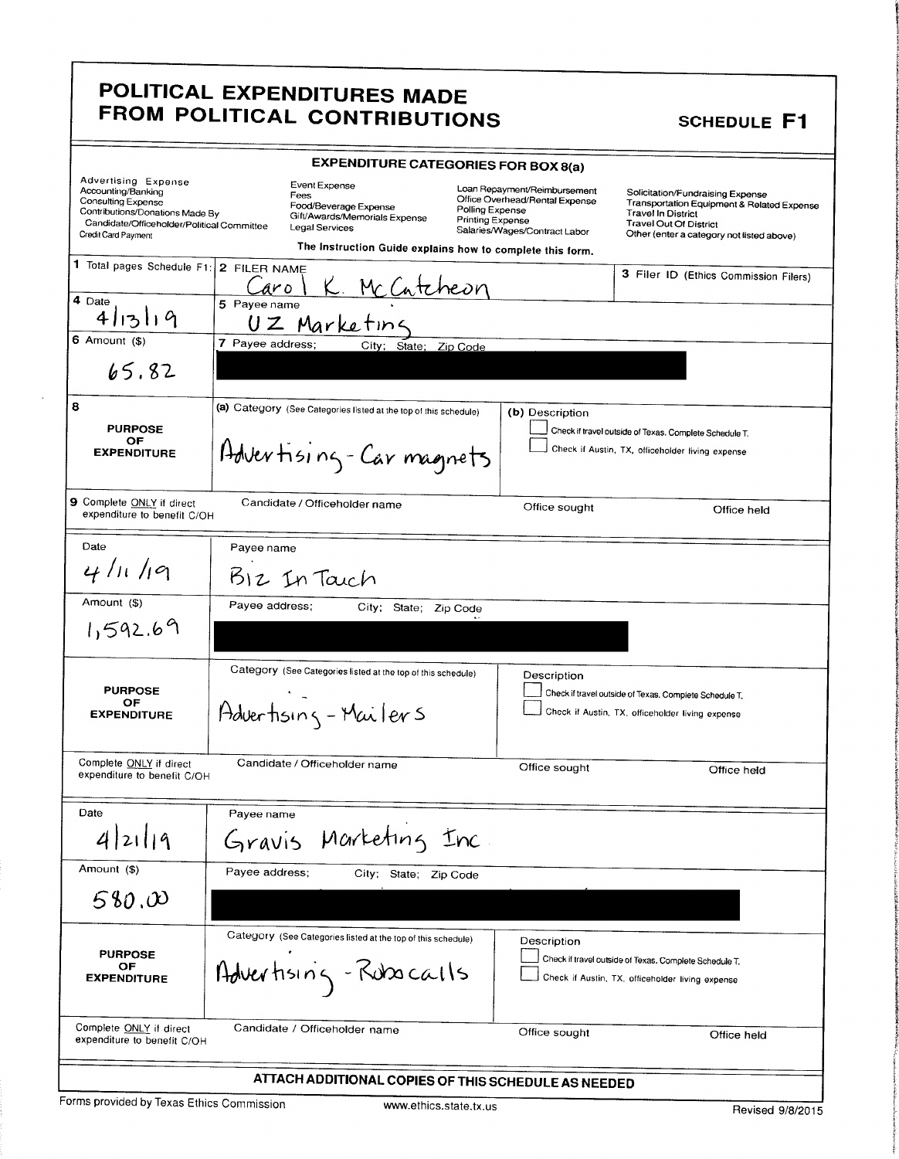### POLITICAL EXPENDITURES MADE FROM POLITICAL CONTRIBUTIONS SCHEDULE F1

1

s

g

g t t.

1 8

|                                                                                                                                                                         | <b>EXPENDITURE CATEGORIES FOR BOX 8(a)</b>                                                                                                                     |                                                                                                                                        |                                                                                                                                                                                           |
|-------------------------------------------------------------------------------------------------------------------------------------------------------------------------|----------------------------------------------------------------------------------------------------------------------------------------------------------------|----------------------------------------------------------------------------------------------------------------------------------------|-------------------------------------------------------------------------------------------------------------------------------------------------------------------------------------------|
| Advertising Expense<br>Accounting/Banking<br>Consulting Expense<br>Contributions/Donations Made By<br>Candidate/Officeholder/Political Committee<br>Credit Card Payment | Event Expense<br>Fees<br>Food/Beverage Expense<br>Gift/Awards/Memorials Expense<br>Legal Services<br>The Instruction Guide explains how to complete this form. | Loan Repayment/Reimbursement<br>Office Overhead/Rental Expense<br>Polling Expense<br>Printing Expense<br>Salaries/Wages/Contract Labor | Solicitation/Fundraising Expense<br>Transportation Equipment & Related Expense<br><b>Travel In District</b><br><b>Travel Out Of District</b><br>Other (enter a category not listed above) |
| 1 Total pages Schedule F1: 2 FILER NAME<br>4 Date                                                                                                                       | K. McCatcheon<br>aro<br>5 Payee name                                                                                                                           |                                                                                                                                        | 3 Filer ID (Ethics Commission Filers)                                                                                                                                                     |
| 4 13 19<br>6 Amount $($)$                                                                                                                                               | UZ Marketing<br>7 Payee address;<br>City: State; Zip Code                                                                                                      |                                                                                                                                        |                                                                                                                                                                                           |
| 65.82                                                                                                                                                                   |                                                                                                                                                                |                                                                                                                                        |                                                                                                                                                                                           |
| 8<br><b>PURPOSE</b><br>OF<br><b>EXPENDITURE</b>                                                                                                                         | (a) Category (See Categories listed at the top of this schedule)<br>Advertising-Carmagnets                                                                     | (b) Description                                                                                                                        | Check if travel outside of Texas. Complete Schedule T.<br>Check if Austin, TX, officeholder living expense                                                                                |
| 9 Complete ONLY if direct<br>expenditure to benefit C/OH                                                                                                                | Candidate / Officeholder name                                                                                                                                  | Office sought                                                                                                                          | Office held                                                                                                                                                                               |
| Date                                                                                                                                                                    | Payee name                                                                                                                                                     |                                                                                                                                        |                                                                                                                                                                                           |
| 41119                                                                                                                                                                   | $512$ In Taich                                                                                                                                                 |                                                                                                                                        |                                                                                                                                                                                           |
| Amount (\$)                                                                                                                                                             | Payee address:<br>City;<br>State; Zip Code                                                                                                                     |                                                                                                                                        |                                                                                                                                                                                           |
| 1,592.69                                                                                                                                                                |                                                                                                                                                                |                                                                                                                                        |                                                                                                                                                                                           |
| <b>PURPOSE</b><br>ОF<br><b>EXPENDITURE</b>                                                                                                                              | Category (See Categories listed at the top of this schedule)<br>Advertising - Mailers                                                                          | Description                                                                                                                            | Check if travel outside of Texas. Complete Schedule T.<br>Check if Austin, TX, officeholder living expense                                                                                |
| Complete ONLY if direct<br>expenditure to benefit C/OH                                                                                                                  | Candidate / Officeholder name                                                                                                                                  | Office sought                                                                                                                          | Office held                                                                                                                                                                               |
| Date                                                                                                                                                                    | Payee name                                                                                                                                                     |                                                                                                                                        |                                                                                                                                                                                           |
| 2119                                                                                                                                                                    | Marketing Inc<br>Gravis                                                                                                                                        |                                                                                                                                        |                                                                                                                                                                                           |
| Amount (\$)                                                                                                                                                             | Payee address:<br>City; State; Zip Code                                                                                                                        |                                                                                                                                        |                                                                                                                                                                                           |
| 580.00                                                                                                                                                                  |                                                                                                                                                                |                                                                                                                                        |                                                                                                                                                                                           |
| <b>PURPOSE</b><br>ОF<br><b>EXPENDITURE</b>                                                                                                                              | Category (See Categories listed at the top of this schedule)<br>Advertising - Robscalls                                                                        | Description                                                                                                                            | Check if travel outside of Texas. Complete Schedule T.<br>Check if Austin, TX, officeholder living expense                                                                                |
| Complete ONLY if direct<br>expenditure to benefit C/OH                                                                                                                  | Candidate / Officeholder name                                                                                                                                  | Office sought                                                                                                                          | Office held                                                                                                                                                                               |
|                                                                                                                                                                         | ATTACH ADDITIONAL COPIES OF THIS SCHEDULE AS NEEDED                                                                                                            |                                                                                                                                        |                                                                                                                                                                                           |

Forms provided by Texas Ethics Commission www.ethics.state.tx.us Revised 9/8/2015